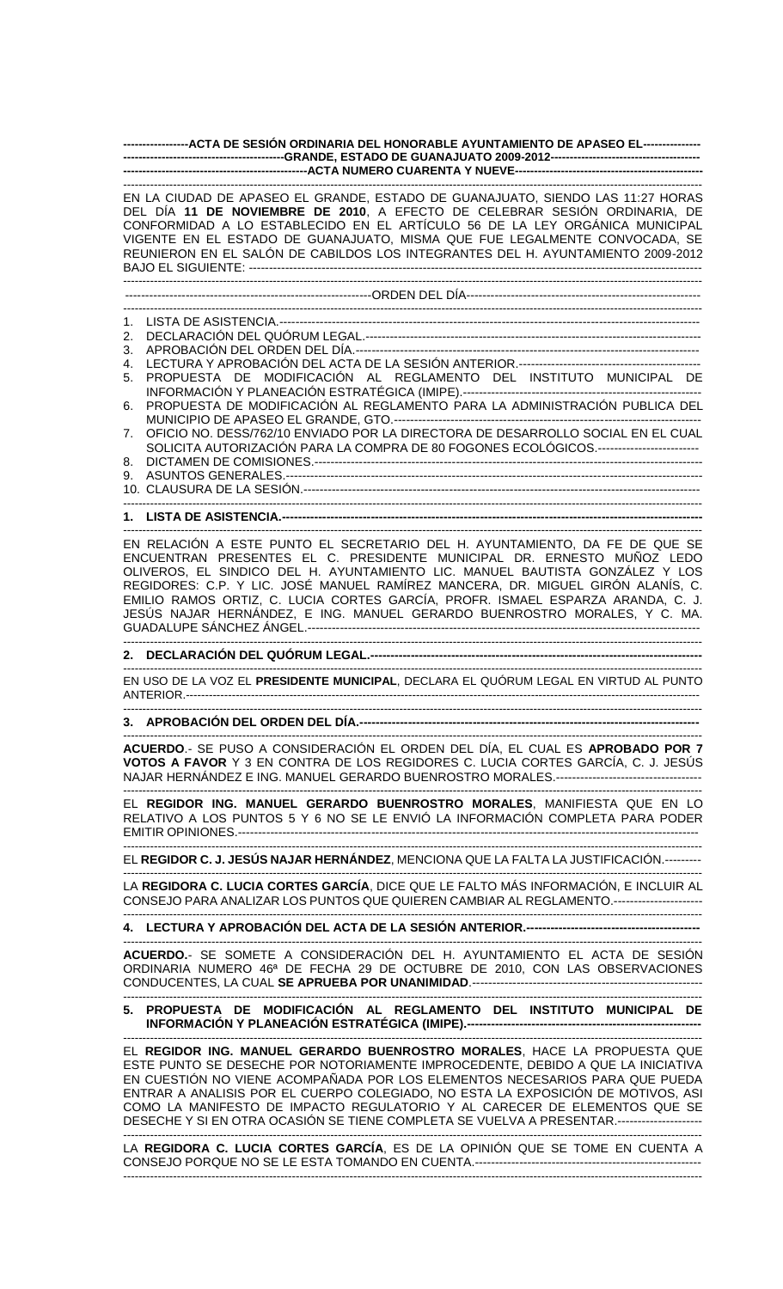**-----------------ACTA DE SESIÓN ORDINARIA DEL HONORABLE AYUNTAMIENTO DE APASEO EL--------------- ------------------------------------------GRANDE, ESTADO DE GUANAJUATO 2009-2012--------------------------------------- ------------------------------------------------ACTA NUMERO CUARENTA Y NUEVE-------------------------------------------------**

------------------------------------------------------------------------------------------------------------------------------------------------------- EN LA CIUDAD DE APASEO EL GRANDE, ESTADO DE GUANAJUATO, SIENDO LAS 11:27 HORAS DEL DÍA **11 DE NOVIEMBRE DE 2010**, A EFECTO DE CELEBRAR SESIÓN ORDINARIA, DE CONFORMIDAD A LO ESTABLECIDO EN EL ARTÍCULO 56 DE LA LEY ORGÁNICA MUNICIPAL VIGENTE EN EL ESTADO DE GUANAJUATO, MISMA QUE FUE LEGALMENTE CONVOCADA, SE REUNIERON EN EL SALÓN DE CABILDOS LOS INTEGRANTES DEL H. AYUNTAMIENTO 2009-2012 BAJO EL SIGUIENTE: ---------------------------------------------------------------------------------------------------------------- ------------------------------------------------------------------------------------------------------------------------------------------------------- -------------------------------------------------------------ORDEN DEL DÍA---------------------------------------------------------- ------------------------------------------------------------------------------------------------------------------------------------------------------- 1. LISTA DE ASISTENCIA.-------------------------------------------------------------------------------------------------------- 2. DECLARACIÓN DEL QUÓRUM LEGAL.---------------------------------3. APROBACIÓN DEL ORDEN DEL DÍA.------------------------------------------------------------------------------------- 4. LECTURA Y APROBACIÓN DEL ACTA DE LA SESIÓN ANTERIOR.--------------------------------------------- 5. PROPUESTA DE MODIFICACIÓN AL REGLAMENTO DEL INSTITUTO MUNICIPAL DE INFORMACIÓN Y PLANEACIÓN ESTRATÉGICA (IMIPE).----------------------------------------------------------- 6. PROPUESTA DE MODIFICACIÓN AL REGLAMENTO PARA LA ADMINISTRACIÓN PUBLICA DEL MUNICIPIO DE APASEO EL GRANDE, GTO.------------7. OFICIO NO. DESS/762/10 ENVIADO POR LA DIRECTORA DE DESARROLLO SOCIAL EN EL CUAL SOLICITA AUTORIZACIÓN PARA LA COMPRA DE 80 FOGONES ECOLÓGICOS.------------------------8. DICTAMEN DE COMISIONES.------------------------------------------------------------------------------------------------ 9. ASUNTOS GENERALES.------------------------------------------------------------------------------------------------------- 10. CLAUSURA DE LA SESIÓN.-------------------------------------------------------------------------------------------------- ------------------------------------------------------------------------------------------------------------------------------------------------------- **1. LISTA DE ASISTENCIA.--------------------------------------------------------------------------------------------------------** ------------------------------------------------------------------------------------------------------------------------------------------------------- EN RELACIÓN A ESTE PUNTO EL SECRETARIO DEL H. AYUNTAMIENTO, DA FE DE QUE SE ENCUENTRAN PRESENTES EL C. PRESIDENTE MUNICIPAL DR. ERNESTO MUÑOZ LEDO OLIVEROS, EL SINDICO DEL H. AYUNTAMIENTO LIC. MANUEL BAUTISTA GONZÁLEZ Y LOS REGIDORES: C.P. Y LIC. JOSÉ MANUEL RAMÍREZ MANCERA, DR. MIGUEL GIRÓN ALANÍS, C. EMILIO RAMOS ORTIZ, C. LUCIA CORTES GARCÍA, PROFR. ISMAEL ESPARZA ARANDA, C. J. JESÚS NAJAR HERNÁNDEZ, E ING. MANUEL GERARDO BUENROSTRO MORALES, Y C. MA. GUADALUPE SÁNCHEZ ÁNGEL.------------------------------------------------------------------------------------------------- ------------------------------------------------------------------------------------------------------------------------------------------------------- **2. DECLARACIÓN DEL QUÓRUM LEGAL.----------------------------------------------------------------------------------** ------------------------------------------------------------------------------------------------------------------------------------------------------- EN USO DE LA VOZ EL **PRESIDENTE MUNICIPAL**, DECLARA EL QUÓRUM LEGAL EN VIRTUD AL PUNTO ANTERIOR.-------------------------------------------------------------------------------------------------------------------------------------- ------------------------------------------------------------------------------------------------------------------------------------------------------- **3. APROBACIÓN DEL ORDEN DEL DÍA.------------------------------------------------------------------------------------** ------------------------------------------------------------------------------------------------------------------------------------------------------- **ACUERDO**.- SE PUSO A CONSIDERACIÓN EL ORDEN DEL DÍA, EL CUAL ES **APROBADO POR 7 VOTOS A FAVOR** Y 3 EN CONTRA DE LOS REGIDORES C. LUCIA CORTES GARCÍA, C. J. JESÚS NAJAR HERNÁNDEZ E ING. MANUEL GERARDO BUENROSTRO MORALES.------------------------------------ ------------------------------------------------------------------------------------------------------------------------------------------------------- EL **REGIDOR ING. MANUEL GERARDO BUENROSTRO MORALES**, MANIFIESTA QUE EN LO RELATIVO A LOS PUNTOS 5 Y 6 NO SE LE ENVIÓ LA INFORMACIÓN COMPLETA PARA PODER EMITIR OPINIONES.------------------------------------------------------------------------------------------------------------------ ------------------------------------------------------------------------------------------------------------------------------------------------------- EL **REGIDOR C. J. JESÚS NAJAR HERNÁNDEZ**, MENCIONA QUE LA FALTA LA JUSTIFICACIÓN.--------- ------------------------------------------------------------------------------------------------------------------------------------------------------- LA **REGIDORA C. LUCIA CORTES GARCÍA**, DICE QUE LE FALTO MÁS INFORMACIÓN, E INCLUIR AL CONSEJO PARA ANALIZAR LOS PUNTOS QUE QUIEREN CAMBIAR AL REGLAMENTO.---------------------- ------------------------------------------------------------------------------------------------------------------------------------------------------- **4. LECTURA Y APROBACIÓN DEL ACTA DE LA SESIÓN ANTERIOR.-------------------------------------------** ------------------------------------------------------------------------------------------------------------------------------------------------------- **ACUERDO.**- SE SOMETE A CONSIDERACIÓN DEL H. AYUNTAMIENTO EL ACTA DE SESIÓN ORDINARIA NUMERO 46ª DE FECHA 29 DE OCTUBRE DE 2010, CON LAS OBSERVACIONES CONDUCENTES, LA CUAL **SE APRUEBA POR UNANIMIDAD**.--------------------------------------------------------- ------------------------------------------------------------------------------------------------------------------------------------------------------- **5. PROPUESTA DE MODIFICACIÓN AL REGLAMENTO DEL INSTITUTO MUNICIPAL DE INFORMACIÓN Y PLANEACIÓN ESTRATÉGICA (IMIPE).----------------------------------------------------------** ------------------------------------------------------------------------------------------------------------------------------------------------------- EL **REGIDOR ING. MANUEL GERARDO BUENROSTRO MORALES**, HACE LA PROPUESTA QUE ESTE PUNTO SE DESECHE POR NOTORIAMENTE IMPROCEDENTE, DEBIDO A QUE LA INICIATIVA EN CUESTIÓN NO VIENE ACOMPAÑADA POR LOS ELEMENTOS NECESARIOS PARA QUE PUEDA ENTRAR A ANALISIS POR EL CUERPO COLEGIADO, NO ESTA LA EXPOSICIÓN DE MOTIVOS, ASI COMO LA MANIFESTO DE IMPACTO REGULATORIO Y AL CARECER DE ELEMENTOS QUE SE DESECHE Y SI EN OTRA OCASIÓN SE TIENE COMPLETA SE VUELVA A PRESENTAR.--------------------- -------------------------------------------------------------------------------------------------------------------------------------------------------

LA **REGIDORA C. LUCIA CORTES GARCÍA**, ES DE LA OPINIÓN QUE SE TOME EN CUENTA A CONSEJO PORQUE NO SE LE ESTA TOMANDO EN CUENTA.-------------------------------------------------------- -------------------------------------------------------------------------------------------------------------------------------------------------------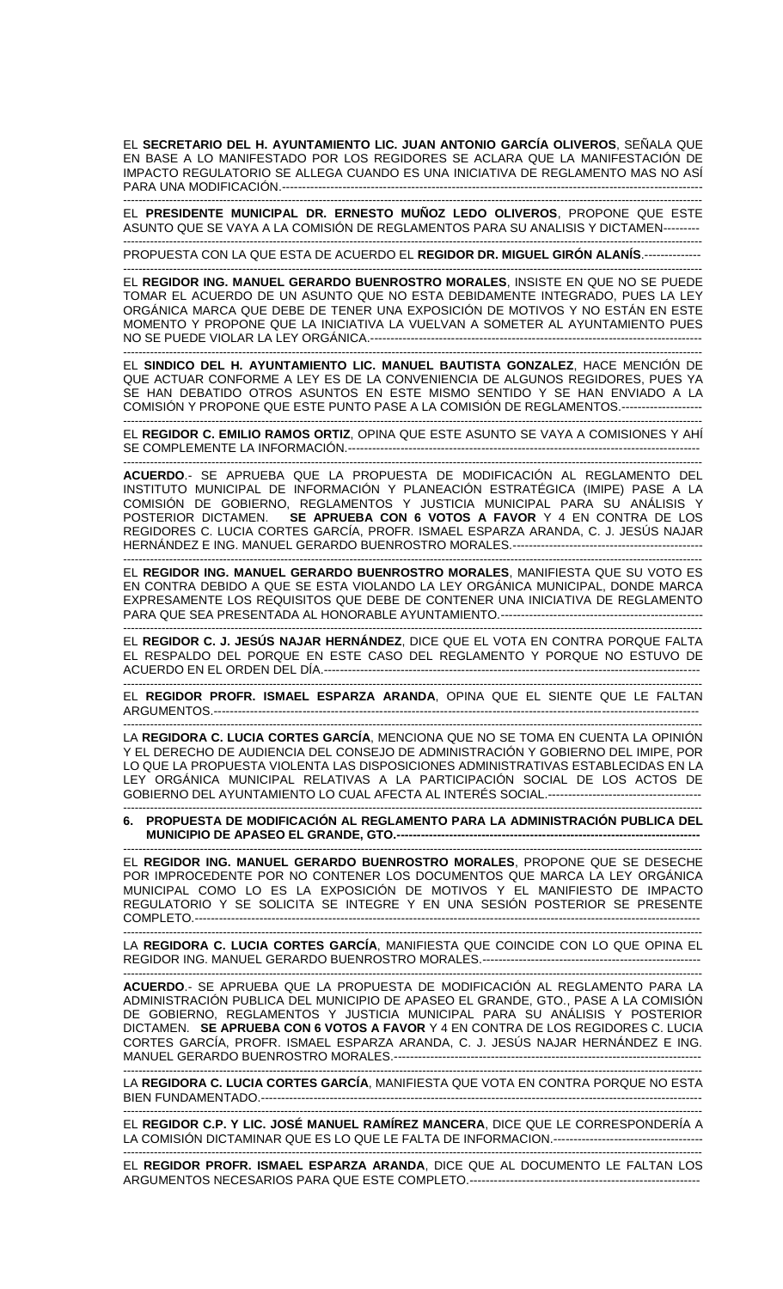EL **SECRETARIO DEL H. AYUNTAMIENTO LIC. JUAN ANTONIO GARCÍA OLIVEROS**, SEÑALA QUE EN BASE A LO MANIFESTADO POR LOS REGIDORES SE ACLARA QUE LA MANIFESTACIÓN DE IMPACTO REGULATORIO SE ALLEGA CUANDO ES UNA INICIATIVA DE REGLAMENTO MAS NO ASÍ PARA UNA MODIFICACIÓN.-------------------------------------------------------------------------------------------------------- -------------------------------------------------------------------------------------------------------------------------------------------------------

EL **PRESIDENTE MUNICIPAL DR. ERNESTO MUÑOZ LEDO OLIVEROS**, PROPONE QUE ESTE ASUNTO QUE SE VAYA A LA COMISIÓN DE REGLAMENTOS PARA SU ANALISIS Y DICTAMEN---------

------------------------------------------------------------------------------------------------------------------------------------------------------- PROPUESTA CON LA QUE ESTA DE ACUERDO EL **REGIDOR DR. MIGUEL GIRÓN ALANÍS**.--------------

------------------------------------------------------------------------------------------------------------------------------------------------------- EL **REGIDOR ING. MANUEL GERARDO BUENROSTRO MORALES**, INSISTE EN QUE NO SE PUEDE TOMAR EL ACUERDO DE UN ASUNTO QUE NO ESTA DEBIDAMENTE INTEGRADO, PUES LA LEY ORGÁNICA MARCA QUE DEBE DE TENER UNA EXPOSICIÓN DE MOTIVOS Y NO ESTÁN EN ESTE MOMENTO Y PROPONE QUE LA INICIATIVA LA VUELVAN A SOMETER AL AYUNTAMIENTO PUES NO SE PUEDE VIOLAR LA LEY ORGÁNICA.----------------------------------------------------------------------------------

EL **SINDICO DEL H. AYUNTAMIENTO LIC. MANUEL BAUTISTA GONZALEZ**, HACE MENCIÓN DE QUE ACTUAR CONFORME A LEY ES DE LA CONVENIENCIA DE ALGUNOS REGIDORES, PUES YA SE HAN DEBATIDO OTROS ASUNTOS EN ESTE MISMO SENTIDO Y SE HAN ENVIADO A LA COMISIÓN Y PROPONE QUE ESTE PUNTO PASE A LA COMISIÓN DE REGLAMENTOS.---

------------------------------------------------------------------------------------------------------------------------------------------------------- EL **REGIDOR C. EMILIO RAMOS ORTIZ**, OPINA QUE ESTE ASUNTO SE VAYA A COMISIONES Y AHÍ SE COMPLEMENTE LA INFORMACIÓN.---------------------------------------------------------------------------------------

-------------------------------------------------------------------------------------------------------------------------------------------------------

**ACUERDO**.- SE APRUEBA QUE LA PROPUESTA DE MODIFICACIÓN AL REGLAMENTO DEL INSTITUTO MUNICIPAL DE INFORMACIÓN Y PLANEACIÓN ESTRATÉGICA (IMIPE) PASE A LA COMISIÓN DE GOBIERNO, REGLAMENTOS Y JUSTICIA MUNICIPAL PARA SU ANÁLISIS Y POSTERIOR DICTAMEN. **SE APRUEBA CON 6 VOTOS A FAVOR** Y 4 EN CONTRA DE LOS REGIDORES C. LUCIA CORTES GARCÍA, PROFR. ISMAEL ESPARZA ARANDA, C. J. JESÚS NAJAR HERNÁNDEZ E ING. MANUEL GERARDO BUENROSTRO MORALES.-----------------------------------------------

------------------------------------------------------------------------------------------------------------------------------------------------------- EL **REGIDOR ING. MANUEL GERARDO BUENROSTRO MORALES**, MANIFIESTA QUE SU VOTO ES EN CONTRA DEBIDO A QUE SE ESTA VIOLANDO LA LEY ORGÁNICA MUNICIPAL, DONDE MARCA EXPRESAMENTE LOS REQUISITOS QUE DEBE DE CONTENER UNA INICIATIVA DE REGLAMENTO PARA QUE SEA PRESENTADA AL HONORABLE AYUNTAMIENTO.--------------------------------------------------

------------------------------------------------------------------------------------------------------------------------------------------------------- EL **REGIDOR C. J. JESÚS NAJAR HERNÁNDEZ**, DICE QUE EL VOTA EN CONTRA PORQUE FALTA EL RESPALDO DEL PORQUE EN ESTE CASO DEL REGLAMENTO Y PORQUE NO ESTUVO DE ACUERDO EN EL ORDEN DEL DÍA.--------------------------------------------------------------------------------------------- -------------------------------------------------------------------------------------------------------------------------------------------------------

EL **REGIDOR PROFR. ISMAEL ESPARZA ARANDA**, OPINA QUE EL SIENTE QUE LE FALTAN ARGUMENTOS.--------------------------------------------------------------------------------------------------------------------------------------------------------------------------------

LA **REGIDORA C. LUCIA CORTES GARCÍA**, MENCIONA QUE NO SE TOMA EN CUENTA LA OPINIÓN Y EL DERECHO DE AUDIENCIA DEL CONSEJO DE ADMINISTRACIÓN Y GOBIERNO DEL IMIPE, POR LO QUE LA PROPUESTA VIOLENTA LAS DISPOSICIONES ADMINISTRATIVAS ESTABLECIDAS EN LA LEY ORGÁNICA MUNICIPAL RELATIVAS A LA PARTICIPACIÓN SOCIAL DE LOS ACTOS DE GOBIERNO DEL AYUNTAMIENTO LO CUAL AFECTA AL INTERÉS SOCIAL.--------------------------------------

------------------------------------------------------------------------------------------------------------------------------------------------------- **6. PROPUESTA DE MODIFICACIÓN AL REGLAMENTO PARA LA ADMINISTRACIÓN PUBLICA DEL MUNICIPIO DE APASEO EL GRANDE, GTO.---------------------------------------------------------------------------**

------------------------------------------------------------------------------------------------------------------------------------------------------- EL **REGIDOR ING. MANUEL GERARDO BUENROSTRO MORALES**, PROPONE QUE SE DESECHE POR IMPROCEDENTE POR NO CONTENER LOS DOCUMENTOS QUE MARCA LA LEY ORGÁNICA MUNICIPAL COMO LO ES LA EXPOSICIÓN DE MOTIVOS Y EL MANIFIESTO DE IMPACTO REGULATORIO Y SE SOLICITA SE INTEGRE Y EN UNA SESIÓN POSTERIOR SE PRESENTE COMPLETO.-----------------------------------------------------------------------------------------------------------------------------

------------------------------------------------------------------------------------------------------------------------------------------------------- LA **REGIDORA C. LUCIA CORTES GARCÍA**, MANIFIESTA QUE COINCIDE CON LO QUE OPINA EL REGIDOR ING. MANUEL GERARDO BUENROSTRO MORALES.------------------------------------------------------ -------------------------------------------------------------------------------------------------------------------------------------------------------

**ACUERDO**.- SE APRUEBA QUE LA PROPUESTA DE MODIFICACIÓN AL REGLAMENTO PARA LA ADMINISTRACIÓN PUBLICA DEL MUNICIPIO DE APASEO EL GRANDE, GTO., PASE A LA COMISIÓN DE GOBIERNO, REGLAMENTOS Y JUSTICIA MUNICIPAL PARA SU ANÁLISIS Y POSTERIOR DICTAMEN. **SE APRUEBA CON 6 VOTOS A FAVOR** Y 4 EN CONTRA DE LOS REGIDORES C. LUCIA CORTES GARCÍA, PROFR. ISMAEL ESPARZA ARANDA, C. J. JESÚS NAJAR HERNÁNDEZ E ING. MANUEL GERARDO BUENROSTRO MORALES.-------------------

------------------------------------------------------------------------------------------------------------------------------------------------------- LA **REGIDORA C. LUCIA CORTES GARCÍA**, MANIFIESTA QUE VOTA EN CONTRA PORQUE NO ESTA BIEN FUNDAMENTADO.-------------------------------------------------------------------------------------------------------------

------------------------------------------------------------------------------------------------------------------------------------------------------- EL **REGIDOR C.P. Y LIC. JOSÉ MANUEL RAMÍREZ MANCERA**, DICE QUE LE CORRESPONDERÍA A LA COMISIÓN DICTAMINAR QUE ES LO QUE LE FALTA DE INFORMACION.-------------------------------------

------------------------------------------------------------------------------------------------------------------------------------------------------- EL **REGIDOR PROFR. ISMAEL ESPARZA ARANDA**, DICE QUE AL DOCUMENTO LE FALTAN LOS ARGUMENTOS NECESARIOS PARA QUE ESTE COMPLETO.-----------